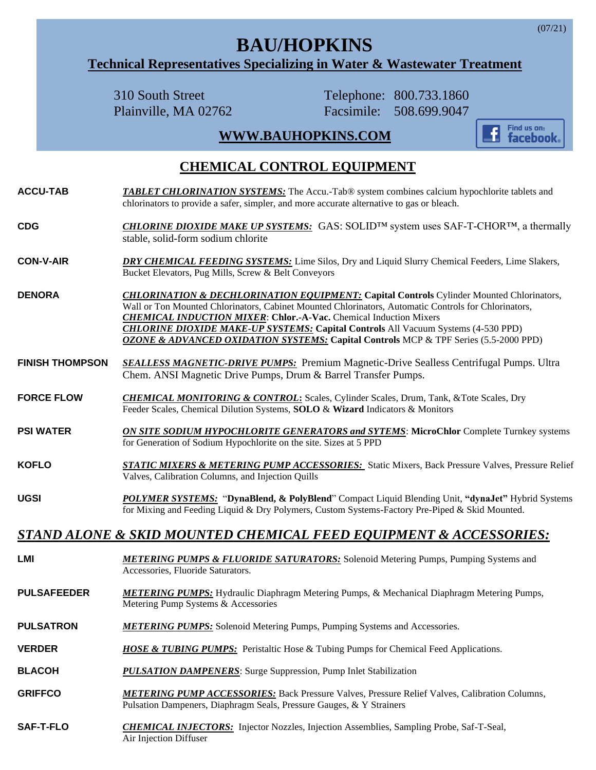# **BAU/HOPKINS**

#### **Technical Representatives Specializing in Water & Wastewater Treatment**

310 South Street Telephone: 800.733.1860

Plainville, MA 02762 Facsimile: 508.699.9047

## **[WWW.BAUHOPKINS.COM](http://www.bauhopkins.com/)**



### **CHEMICAL CONTROL EQUIPMENT**

- **ACCU-TAB** *TABLET CHLORINATION SYSTEMS:* The Accu.-Tab® system combines calcium hypochlorite tablets and chlorinators to provide a safer, simpler, and more accurate alternative to gas or bleach.
- **CDG** *CHLORINE DIOXIDE MAKE UP SYSTEMS:*GAS: SOLID™ system uses SAF-T-CHOR™, a thermally stable, solid-form sodium chlorite
- **CON-V-AIR** *DRY CHEMICAL FEEDING SYSTEMS:* Lime Silos, Dry and Liquid Slurry Chemical Feeders, Lime Slakers, Bucket Elevators, Pug Mills, Screw & Belt Conveyors
- **DENORA** *CHLORINATION & DECHLORINATION EQUIPMENT:* **Capital Controls** Cylinder Mounted Chlorinators, Wall or Ton Mounted Chlorinators, Cabinet Mounted Chlorinators, Automatic Controls for Chlorinators, *CHEMICAL INDUCTION MIXER*: **Chlor.-A-Vac.** Chemical Induction Mixers *CHLORINE DIOXIDE MAKE-UP SYSTEMS:* **Capital Controls** All Vacuum Systems (4-530 PPD) *OZONE & ADVANCED OXIDATION SYSTEMS:* **Capital Controls** MCP & TPF Series (5.5-2000 PPD)
- **FINISH THOMPSON** *SEALLESS MAGNETIC-DRIVE PUMPS:*Premium Magnetic-Drive Sealless Centrifugal Pumps. Ultra Chem. ANSI Magnetic Drive Pumps, Drum & Barrel Transfer Pumps.
- **FORCE FLOW** *CHEMICAL MONITORING & CONTROL***:** Scales, Cylinder Scales, Drum, Tank, &Tote Scales, Dry Feeder Scales, Chemical Dilution Systems, **SOLO** & **Wizard** Indicators & Monitors
- **PSI WATER** *ON SITE SODIUM HYPOCHLORITE GENERATORS and SYTEMS*: **MicroChlor** Complete Turnkey systems for Generation of Sodium Hypochlorite on the site. Sizes at 5 PPD
- **KOFLO** *STATIC MIXERS & METERING PUMP ACCESSORIES:* Static Mixers, Back Pressure Valves, Pressure Relief Valves, Calibration Columns, and Injection Quills
- **UGSI** *POLYMER SYSTEMS:* "**DynaBlend, & PolyBlend**" Compact Liquid Blending Unit, **"dynaJet"** Hybrid Systems for Mixing and Feeding Liquid & Dry Polymers, Custom Systems-Factory Pre-Piped & Skid Mounted.

#### *STAND ALONE & SKID MOUNTED CHEMICAL FEED EQUIPMENT & ACCESSORIES:*

**LMI** *METERING PUMPS & FLUORIDE SATURATORS:* Solenoid Metering Pumps, Pumping Systems and Accessories, Fluoride Saturators. **PULSAFEEDER** *METERING PUMPS:* Hydraulic Diaphragm Metering Pumps, & Mechanical Diaphragm Metering Pumps, Metering Pump Systems & Accessories **PULSATRON** *METERING PUMPS:* Solenoid Metering Pumps, Pumping Systems and Accessories. **VERDER** *HOSE & TUBING PUMPS:* Peristaltic Hose & Tubing Pumps for Chemical Feed Applications. **BLACOH** *PULSATION DAMPENERS*: Surge Suppression, Pump Inlet Stabilization **GRIFFCO** *METERING PUMP ACCESSORIES:* Back Pressure Valves, Pressure Relief Valves, Calibration Columns, Pulsation Dampeners, Diaphragm Seals, Pressure Gauges, & Y Strainers **SAF-T-FLO** *CHEMICAL INJECTORS:*Injector Nozzles, Injection Assemblies, Sampling Probe, Saf-T-Seal, Air Injection Diffuser